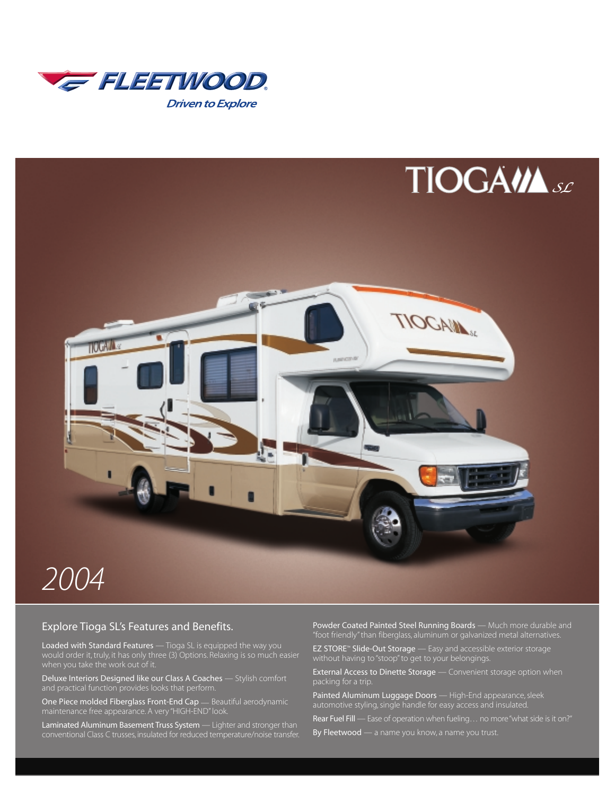



#### Explore Tioga SL's Features and Benefits.

Loaded with Standard Features — Tioga SL is equipped the way you would order it, truly, it has only three (3) Options. Relaxing is so much easier

Deluxe Interiors Designed like our Class A Coaches — Stylish comfort

One Piece molded Fiberglass Front-End Cap — Beautiful aerodynamic maintenance free appearance. A very "HIGH-END" look.

Laminated Aluminum Basement Truss System — Lighter and stronger than conventional Class C trusses, insulated for reduced temperature/noise transfer. Powder Coated Painted Steel Running Boards - Much more durable and "foot friendly" than fiberglass, aluminum or galvanized metal alternatives.

EZ STORE™ Slide-Out Storage — Easy and accessible exterior storage without having to "stoop" to get to your belongings.

External Access to Dinette Storage - Convenient storage option when packing for a trip.

Painted Aluminum Luggage Doors - High-End appearance, sleek automotive styling, single handle for easy access and insulated.

Rear Fuel Fill — Ease of operation when fueling... no more "what side is it on?"

By Fleetwood — a name you know, a name you trust.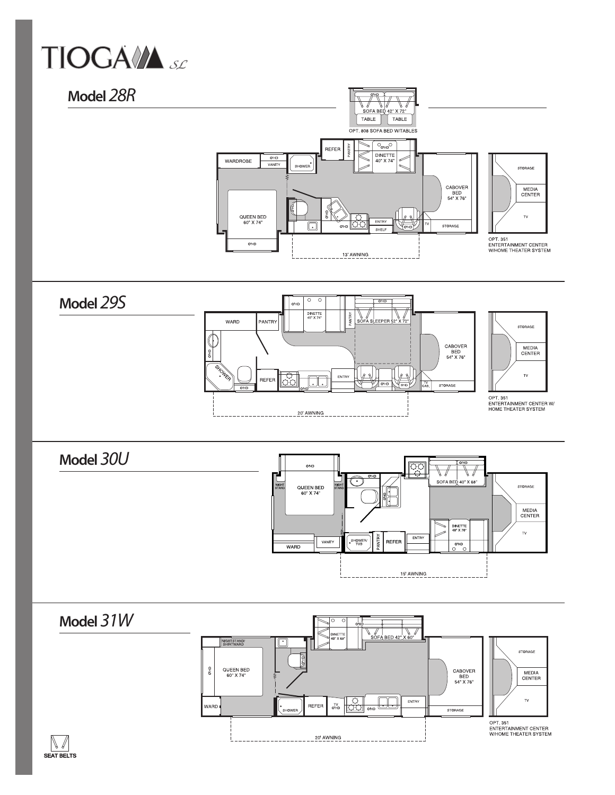

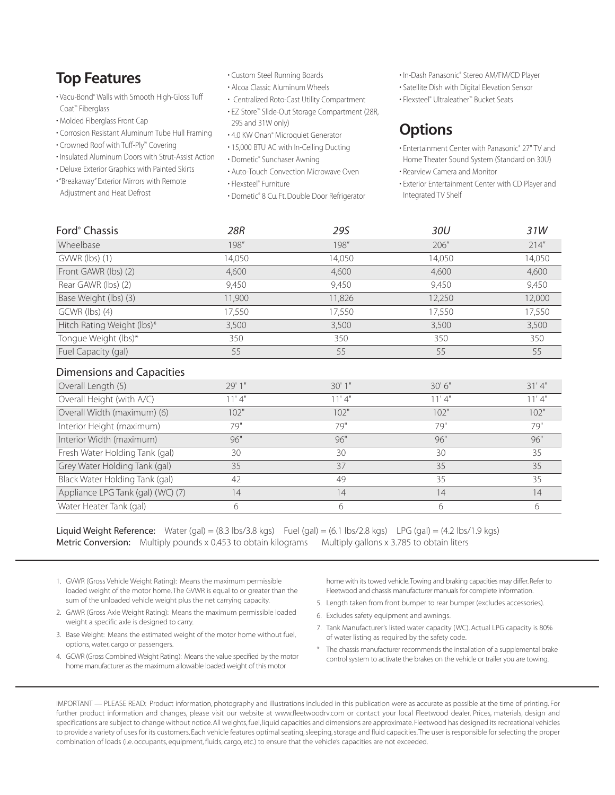# **Top Features**

- Vacu-Bond® Walls with Smooth High-Gloss Tuff Coat™ Fiberglass
- Molded Fiberglass Front Cap
- Corrosion Resistant Aluminum Tube Hull Framing
- Crowned Roof with Tuff-Ply™ Covering
- Insulated Aluminum Doors with Strut-Assist Action
- Deluxe Exterior Graphics with Painted Skirts
- "Breakaway" Exterior Mirrors with Remote Adjustment and Heat Defrost
- Custom Steel Running Boards
	- Alcoa Classic Aluminum Wheels
	- Centralized Roto-Cast Utility Compartment
	- EZ Store™ Slide-Out Storage Compartment (28R, 29S and 31W only)
	- 4.0 KW Onan® Microquiet Generator
	- 15,000 BTU AC with In-Ceiling Ducting
	- Dometic® Sunchaser Awning
	- Auto-Touch Convection Microwave Oven • Flexsteel® Furniture
	- Dometic® 8 Cu. Ft. Double Door Refrigerator
- In-Dash Panasonic® Stereo AM/FM/CD Player
- Satellite Dish with Digital Elevation Sensor
- Flexsteel® Ultraleather™ Bucket Seats

# **Options**

- Entertainment Center with Panasonic® 27" TV and Home Theater Sound System (Standard on 30U)
- Rearview Camera and Monitor
- Exterior Entertainment Center with CD Player and Integrated TV Shelf

| Ford <sup>®</sup> Chassis  | 28R    | 29S    | 30U    | 31W    |
|----------------------------|--------|--------|--------|--------|
| Wheelbase                  | 198"   | 198"   | 206"   | 214''  |
| $GWWR$ (lbs) (1)           | 14,050 | 14,050 | 14,050 | 14,050 |
| Front GAWR (lbs) (2)       | 4,600  | 4,600  | 4,600  | 4,600  |
| Rear GAWR (lbs) (2)        | 9,450  | 9,450  | 9,450  | 9,450  |
| Base Weight (lbs) (3)      | 11,900 | 11,826 | 12,250 | 12,000 |
| $GCWR$ (lbs) (4)           | 17,550 | 17,550 | 17,550 | 17,550 |
| Hitch Rating Weight (lbs)* | 3,500  | 3,500  | 3,500  | 3,500  |
| Tongue Weight (lbs)*       | 350    | 350    | 350    | 350    |
| Fuel Capacity (gal)        | 55     | 55     | 55     | 55     |

#### Dimensions and Capacities

| Overall Length (5)                | 29'1" | 30'1'' | 30'6'' | 31'4'' |
|-----------------------------------|-------|--------|--------|--------|
| Overall Height (with A/C)         | 11'4" | 11'4"  | 11'4"  | 11'4"  |
| Overall Width (maximum) (6)       | 102"  | 102"   | 102"   | 102"   |
| Interior Height (maximum)         | 79"   | 79"    | 79"    | 79"    |
| Interior Width (maximum)          | 96"   | 96"    | 96"    | 96"    |
| Fresh Water Holding Tank (gal)    | 30    | 30     | 30     | 35     |
| Grey Water Holding Tank (gal)     | 35    | 37     | 35     | 35     |
| Black Water Holding Tank (gal)    | 42    | 49     | 35     | 35     |
| Appliance LPG Tank (gal) (WC) (7) | 14    | 14     | 14     | 14     |
| Water Heater Tank (gal)           |       | h      |        |        |

**Liquid Weight Reference:** Water (gal) =  $(8.3 \text{ lbs}/3.8 \text{ kgs})$  Fuel (gal) =  $(6.1 \text{ lbs}/2.8 \text{ kgs})$  LPG (gal) =  $(4.2 \text{ lbs}/1.9 \text{ kgs})$ Metric Conversion: Multiply pounds x 0.453 to obtain kilograms Multiply gallons x 3.785 to obtain liters

- 1. GVWR (Gross Vehicle Weight Rating): Means the maximum permissible loaded weight of the motor home. The GVWR is equal to or greater than the sum of the unloaded vehicle weight plus the net carrying capacity.
- 2. GAWR (Gross Axle Weight Rating): Means the maximum permissible loaded weight a specific axle is designed to carry.
- 3. Base Weight: Means the estimated weight of the motor home without fuel, options, water, cargo or passengers.
- 4. GCWR (Gross Combined Weight Rating): Means the value specified by the motor home manufacturer as the maximum allowable loaded weight of this motor

home with its towed vehicle.Towing and braking capacities may differ. Refer to Fleetwood and chassis manufacturer manuals for complete information.

- 5. Length taken from front bumper to rear bumper (excludes accessories).
- 6. Excludes safety equipment and awnings.
- 7. Tank Manufacturer's listed water capacity (WC). Actual LPG capacity is 80% of water listing as required by the safety code.
- \* The chassis manufacturer recommends the installation of a supplemental brake control system to activate the brakes on the vehicle or trailer you are towing.

IMPORTANT — PLEASE READ: Product information, photography and illustrations included in this publication were as accurate as possible at the time of printing. For further product information and changes, please visit our website at www.fleetwoodrv.com or contact your local Fleetwood dealer. Prices, materials, design and specifications are subject to change without notice. All weights, fuel, liquid capacities and dimensions are approximate. Fleetwood has designed its recreational vehicles to provide a variety of uses for its customers. Each vehicle features optimal seating, sleeping, storage and fluid capacities.The user is responsible for selecting the proper combination of loads (i.e. occupants, equipment, fluids, cargo, etc.) to ensure that the vehicle's capacities are not exceeded.